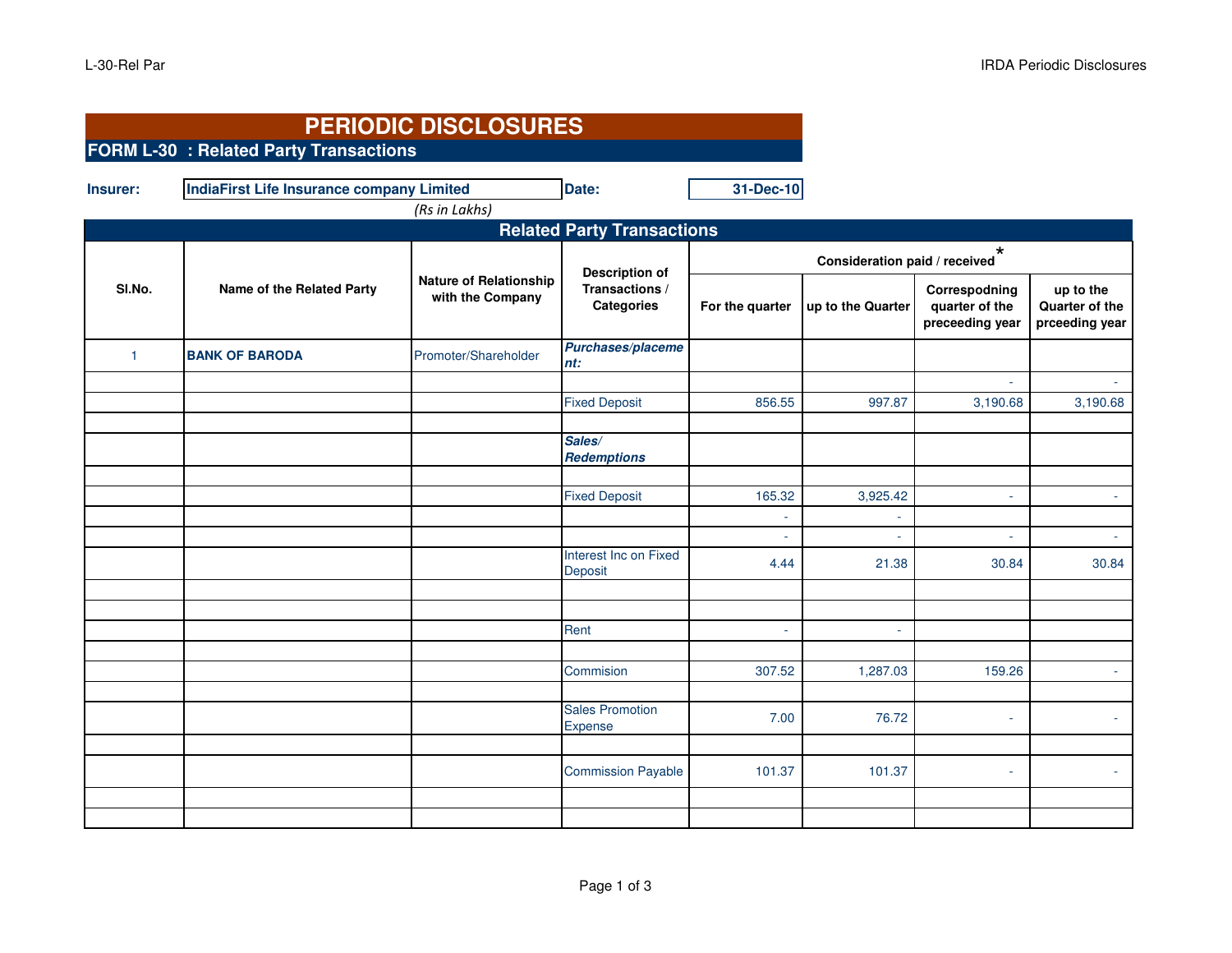|              | <b>PERIODIC DISCLOSURES</b>                      |                                                   |                                                              |                                          |                   |                                                    |                                               |  |
|--------------|--------------------------------------------------|---------------------------------------------------|--------------------------------------------------------------|------------------------------------------|-------------------|----------------------------------------------------|-----------------------------------------------|--|
|              | <b>FORM L-30 : Related Party Transactions</b>    |                                                   |                                                              |                                          |                   |                                                    |                                               |  |
| Insurer:     | <b>IndiaFirst Life Insurance company Limited</b> | (Rs in Lakhs)                                     | Date:                                                        | 31-Dec-10                                |                   |                                                    |                                               |  |
|              |                                                  |                                                   | <b>Related Party Transactions</b>                            |                                          |                   |                                                    |                                               |  |
|              |                                                  |                                                   |                                                              | $\star$<br>Consideration paid / received |                   |                                                    |                                               |  |
| SI.No.       | Name of the Related Party                        | <b>Nature of Relationship</b><br>with the Company | <b>Description of</b><br>Transactions /<br><b>Categories</b> | For the quarter                          | up to the Quarter | Correspodning<br>quarter of the<br>preceeding year | up to the<br>Quarter of the<br>prceeding year |  |
| $\mathbf{1}$ | <b>BANK OF BARODA</b>                            | Promoter/Shareholder                              | Purchases/placeme<br>nt:                                     |                                          |                   |                                                    |                                               |  |
|              |                                                  |                                                   |                                                              |                                          |                   | ÷.                                                 |                                               |  |
|              |                                                  |                                                   | <b>Fixed Deposit</b>                                         | 856.55                                   | 997.87            | 3,190.68                                           | 3,190.68                                      |  |
|              |                                                  |                                                   |                                                              |                                          |                   |                                                    |                                               |  |
|              |                                                  |                                                   | Sales/<br><b>Redemptions</b>                                 |                                          |                   |                                                    |                                               |  |
|              |                                                  |                                                   | <b>Fixed Deposit</b>                                         | 165.32                                   | 3,925.42          | $\overline{\phantom{a}}$                           | $\overline{\phantom{a}}$                      |  |
|              |                                                  |                                                   |                                                              | ×.                                       | $\sim$            |                                                    |                                               |  |
|              |                                                  |                                                   |                                                              |                                          |                   | ÷.                                                 | ÷                                             |  |
|              |                                                  |                                                   | Interest Inc on Fixed<br>Deposit                             | 4.44                                     | 21.38             | 30.84                                              | 30.84                                         |  |
|              |                                                  |                                                   |                                                              |                                          |                   |                                                    |                                               |  |
|              |                                                  |                                                   | Rent                                                         | ÷.                                       | ÷.                |                                                    |                                               |  |
|              |                                                  |                                                   |                                                              |                                          |                   |                                                    |                                               |  |
|              |                                                  |                                                   | Commision                                                    | 307.52                                   | 1,287.03          | 159.26                                             |                                               |  |
|              |                                                  |                                                   | <b>Sales Promotion</b><br><b>Expense</b>                     | 7.00                                     | 76.72             | $\sim$                                             |                                               |  |
|              |                                                  |                                                   |                                                              |                                          |                   |                                                    |                                               |  |
|              |                                                  |                                                   | <b>Commission Payable</b>                                    | 101.37                                   | 101.37            | ×.                                                 |                                               |  |
|              |                                                  |                                                   |                                                              |                                          |                   |                                                    |                                               |  |
|              |                                                  |                                                   |                                                              |                                          |                   |                                                    |                                               |  |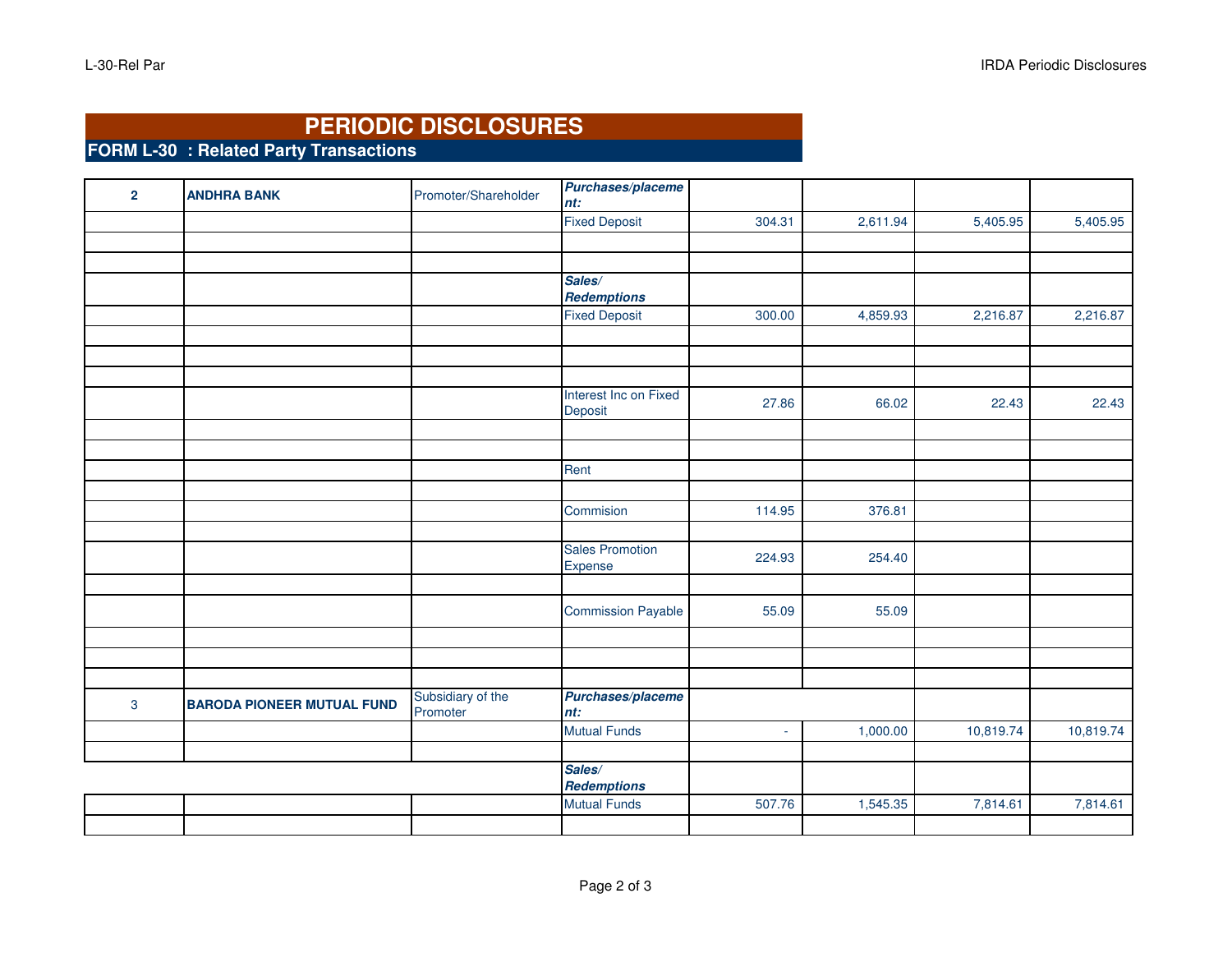## **PERIODIC DISCLOSURES**

**FORM L-30 : Related Party Transactions**

| $\overline{2}$ | <b>ANDHRA BANK</b>                | Promoter/Shareholder          | Purchases/placeme<br>nt:                   |        |          |           |           |
|----------------|-----------------------------------|-------------------------------|--------------------------------------------|--------|----------|-----------|-----------|
|                |                                   |                               | <b>Fixed Deposit</b>                       | 304.31 | 2,611.94 | 5,405.95  | 5,405.95  |
|                |                                   |                               |                                            |        |          |           |           |
|                |                                   |                               |                                            |        |          |           |           |
|                |                                   |                               | Sales/                                     |        |          |           |           |
|                |                                   |                               | <b>Redemptions</b><br><b>Fixed Deposit</b> | 300.00 | 4,859.93 | 2,216.87  | 2,216.87  |
|                |                                   |                               |                                            |        |          |           |           |
|                |                                   |                               |                                            |        |          |           |           |
|                |                                   |                               |                                            |        |          |           |           |
|                |                                   |                               | Interest Inc on Fixed<br>Deposit           | 27.86  | 66.02    | 22.43     | 22.43     |
|                |                                   |                               |                                            |        |          |           |           |
|                |                                   |                               |                                            |        |          |           |           |
|                |                                   |                               | Rent                                       |        |          |           |           |
|                |                                   |                               |                                            |        |          |           |           |
|                |                                   |                               | Commision                                  | 114.95 | 376.81   |           |           |
|                |                                   |                               |                                            |        |          |           |           |
|                |                                   |                               | <b>Sales Promotion</b><br>Expense          | 224.93 | 254.40   |           |           |
|                |                                   |                               |                                            |        |          |           |           |
|                |                                   |                               | <b>Commission Payable</b>                  | 55.09  | 55.09    |           |           |
|                |                                   |                               |                                            |        |          |           |           |
|                |                                   |                               |                                            |        |          |           |           |
| $\mathbf{3}$   | <b>BARODA PIONEER MUTUAL FUND</b> | Subsidiary of the<br>Promoter | Purchases/placeme<br>nt:                   |        |          |           |           |
|                |                                   |                               | <b>Mutual Funds</b>                        | ä,     | 1,000.00 | 10,819.74 | 10,819.74 |
|                |                                   |                               |                                            |        |          |           |           |
|                |                                   |                               | Sales/<br><b>Redemptions</b>               |        |          |           |           |
|                |                                   |                               | <b>Mutual Funds</b>                        | 507.76 | 1,545.35 | 7,814.61  | 7,814.61  |
|                |                                   |                               |                                            |        |          |           |           |